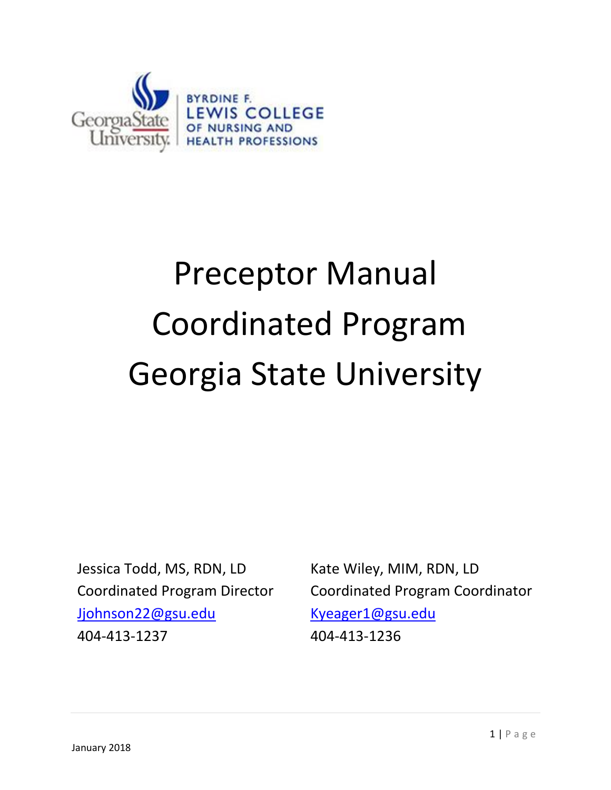

# Preceptor Manual Coordinated Program Georgia State University

Jessica Todd, MS, RDN, LD Coordinated Program Director [Jjohnson22@gsu.edu](mailto:Jjohnson22@gsu.edu) 404-413-1237

Kate Wiley, MIM, RDN, LD Coordinated Program Coordinator [Kyeager1@gsu.edu](mailto:Kyeager1@gsu.edu) 404-413-1236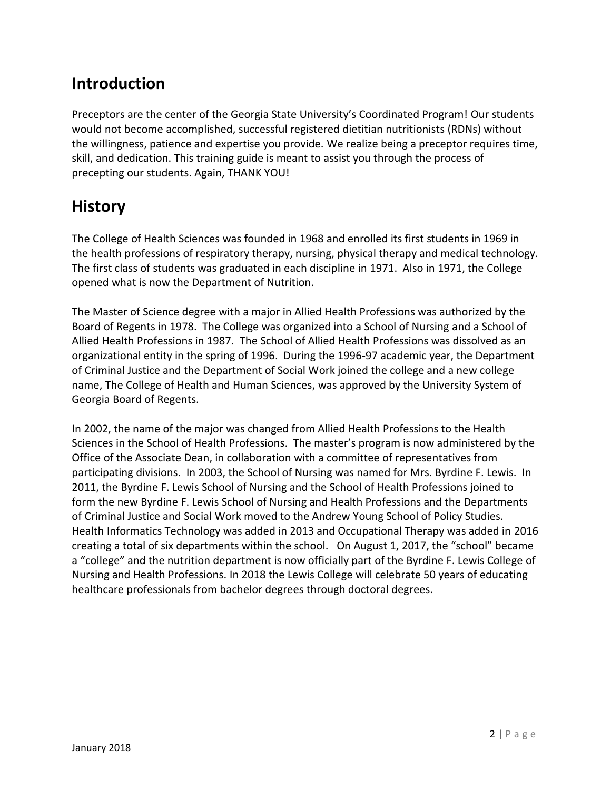# **Introduction**

Preceptors are the center of the Georgia State University's Coordinated Program! Our students would not become accomplished, successful registered dietitian nutritionists (RDNs) without the willingness, patience and expertise you provide. We realize being a preceptor requires time, skill, and dedication. This training guide is meant to assist you through the process of precepting our students. Again, THANK YOU!

# **History**

The College of Health Sciences was founded in 1968 and enrolled its first students in 1969 in the health professions of respiratory therapy, nursing, physical therapy and medical technology. The first class of students was graduated in each discipline in 1971. Also in 1971, the College opened what is now the Department of Nutrition.

The Master of Science degree with a major in Allied Health Professions was authorized by the Board of Regents in 1978. The College was organized into a School of Nursing and a School of Allied Health Professions in 1987. The School of Allied Health Professions was dissolved as an organizational entity in the spring of 1996. During the 1996-97 academic year, the Department of Criminal Justice and the Department of Social Work joined the college and a new college name, The College of Health and Human Sciences, was approved by the University System of Georgia Board of Regents.

In 2002, the name of the major was changed from Allied Health Professions to the Health Sciences in the School of Health Professions. The master's program is now administered by the Office of the Associate Dean, in collaboration with a committee of representatives from participating divisions. In 2003, the School of Nursing was named for Mrs. Byrdine F. Lewis. In 2011, the Byrdine F. Lewis School of Nursing and the School of Health Professions joined to form the new Byrdine F. Lewis School of Nursing and Health Professions and the Departments of Criminal Justice and Social Work moved to the Andrew Young School of Policy Studies. Health Informatics Technology was added in 2013 and Occupational Therapy was added in 2016 creating a total of six departments within the school. On August 1, 2017, the "school" became a "college" and the nutrition department is now officially part of the Byrdine F. Lewis College of Nursing and Health Professions. In 2018 the Lewis College will celebrate 50 years of educating healthcare professionals from bachelor degrees through doctoral degrees.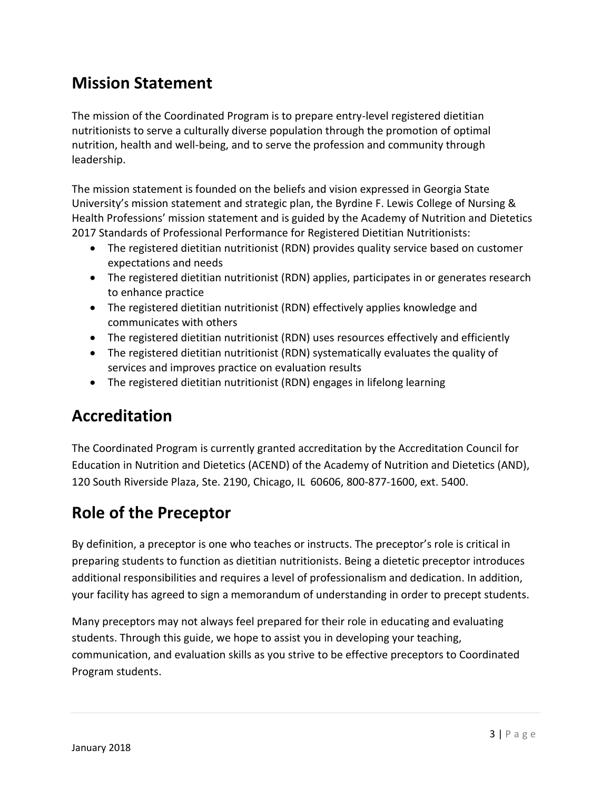# **Mission Statement**

The mission of the Coordinated Program is to prepare entry-level registered dietitian nutritionists to serve a culturally diverse population through the promotion of optimal nutrition, health and well-being, and to serve the profession and community through leadership.

The mission statement is founded on the beliefs and vision expressed in Georgia State University's mission statement and strategic plan, the Byrdine F. Lewis College of Nursing & Health Professions' mission statement and is guided by the Academy of Nutrition and Dietetics 2017 Standards of Professional Performance for Registered Dietitian Nutritionists:

- The registered dietitian nutritionist (RDN) provides quality service based on customer expectations and needs
- The registered dietitian nutritionist (RDN) applies, participates in or generates research to enhance practice
- The registered dietitian nutritionist (RDN) effectively applies knowledge and communicates with others
- The registered dietitian nutritionist (RDN) uses resources effectively and efficiently
- The registered dietitian nutritionist (RDN) systematically evaluates the quality of services and improves practice on evaluation results
- The registered dietitian nutritionist (RDN) engages in lifelong learning

# **Accreditation**

The Coordinated Program is currently granted accreditation by the Accreditation Council for Education in Nutrition and Dietetics (ACEND) of the Academy of Nutrition and Dietetics (AND), 120 South Riverside Plaza, Ste. 2190, Chicago, IL 60606, 800-877-1600, ext. 5400.

# **Role of the Preceptor**

By definition, a preceptor is one who teaches or instructs. The preceptor's role is critical in preparing students to function as dietitian nutritionists. Being a dietetic preceptor introduces additional responsibilities and requires a level of professionalism and dedication. In addition, your facility has agreed to sign a memorandum of understanding in order to precept students.

Many preceptors may not always feel prepared for their role in educating and evaluating students. Through this guide, we hope to assist you in developing your teaching, communication, and evaluation skills as you strive to be effective preceptors to Coordinated Program students.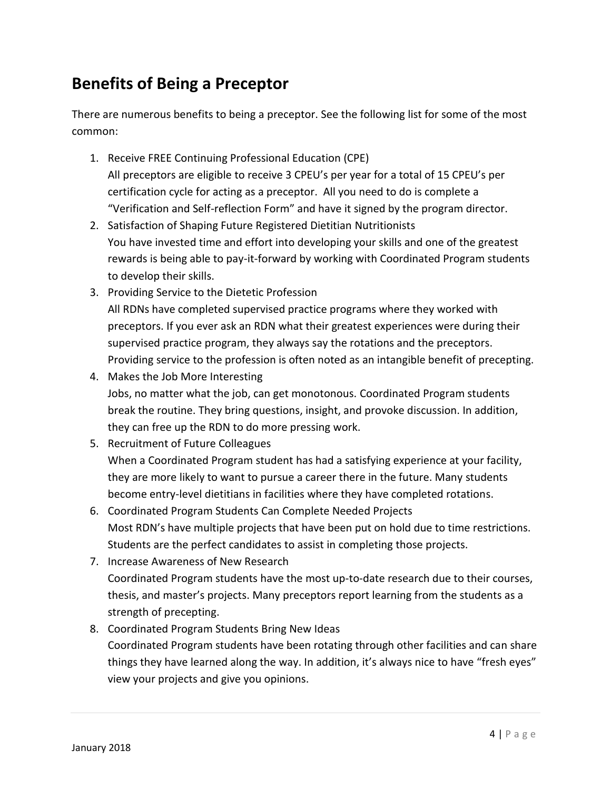# **Benefits of Being a Preceptor**

There are numerous benefits to being a preceptor. See the following list for some of the most common:

- 1. Receive FREE Continuing Professional Education (CPE) All preceptors are eligible to receive 3 CPEU's per year for a total of 15 CPEU's per certification cycle for acting as a preceptor. All you need to do is complete a "Verification and Self-reflection Form" and have it signed by the program director.
- 2. Satisfaction of Shaping Future Registered Dietitian Nutritionists You have invested time and effort into developing your skills and one of the greatest rewards is being able to pay-it-forward by working with Coordinated Program students to develop their skills.
- 3. Providing Service to the Dietetic Profession All RDNs have completed supervised practice programs where they worked with preceptors. If you ever ask an RDN what their greatest experiences were during their supervised practice program, they always say the rotations and the preceptors. Providing service to the profession is often noted as an intangible benefit of precepting.
- 4. Makes the Job More Interesting Jobs, no matter what the job, can get monotonous. Coordinated Program students break the routine. They bring questions, insight, and provoke discussion. In addition, they can free up the RDN to do more pressing work.
- 5. Recruitment of Future Colleagues When a Coordinated Program student has had a satisfying experience at your facility, they are more likely to want to pursue a career there in the future. Many students become entry-level dietitians in facilities where they have completed rotations.
- 6. Coordinated Program Students Can Complete Needed Projects Most RDN's have multiple projects that have been put on hold due to time restrictions. Students are the perfect candidates to assist in completing those projects.
- 7. Increase Awareness of New Research Coordinated Program students have the most up-to-date research due to their courses, thesis, and master's projects. Many preceptors report learning from the students as a strength of precepting.
- 8. Coordinated Program Students Bring New Ideas Coordinated Program students have been rotating through other facilities and can share things they have learned along the way. In addition, it's always nice to have "fresh eyes" view your projects and give you opinions.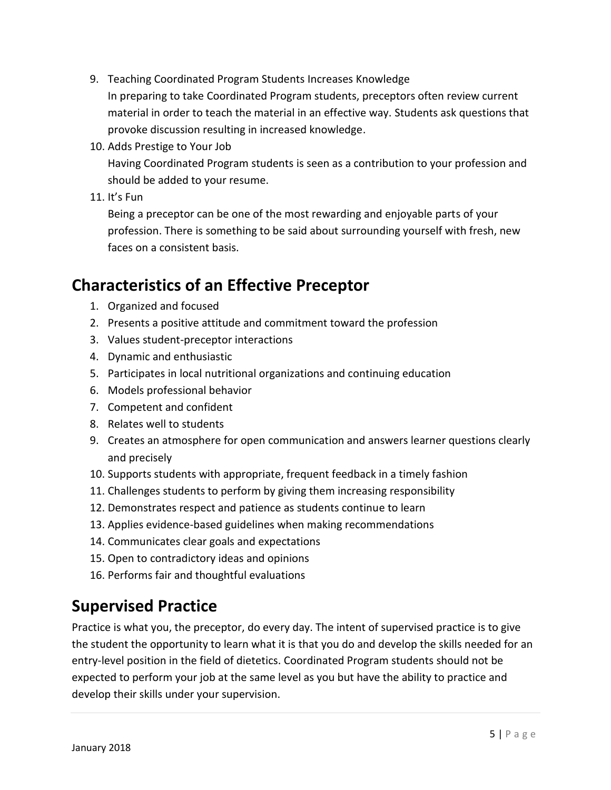- 9. Teaching Coordinated Program Students Increases Knowledge In preparing to take Coordinated Program students, preceptors often review current material in order to teach the material in an effective way. Students ask questions that provoke discussion resulting in increased knowledge.
- 10. Adds Prestige to Your Job

Having Coordinated Program students is seen as a contribution to your profession and should be added to your resume.

11. It's Fun

Being a preceptor can be one of the most rewarding and enjoyable parts of your profession. There is something to be said about surrounding yourself with fresh, new faces on a consistent basis.

# **Characteristics of an Effective Preceptor**

- 1. Organized and focused
- 2. Presents a positive attitude and commitment toward the profession
- 3. Values student-preceptor interactions
- 4. Dynamic and enthusiastic
- 5. Participates in local nutritional organizations and continuing education
- 6. Models professional behavior
- 7. Competent and confident
- 8. Relates well to students
- 9. Creates an atmosphere for open communication and answers learner questions clearly and precisely
- 10. Supports students with appropriate, frequent feedback in a timely fashion
- 11. Challenges students to perform by giving them increasing responsibility
- 12. Demonstrates respect and patience as students continue to learn
- 13. Applies evidence-based guidelines when making recommendations
- 14. Communicates clear goals and expectations
- 15. Open to contradictory ideas and opinions
- 16. Performs fair and thoughtful evaluations

# **Supervised Practice**

Practice is what you, the preceptor, do every day. The intent of supervised practice is to give the student the opportunity to learn what it is that you do and develop the skills needed for an entry-level position in the field of dietetics. Coordinated Program students should not be expected to perform your job at the same level as you but have the ability to practice and develop their skills under your supervision.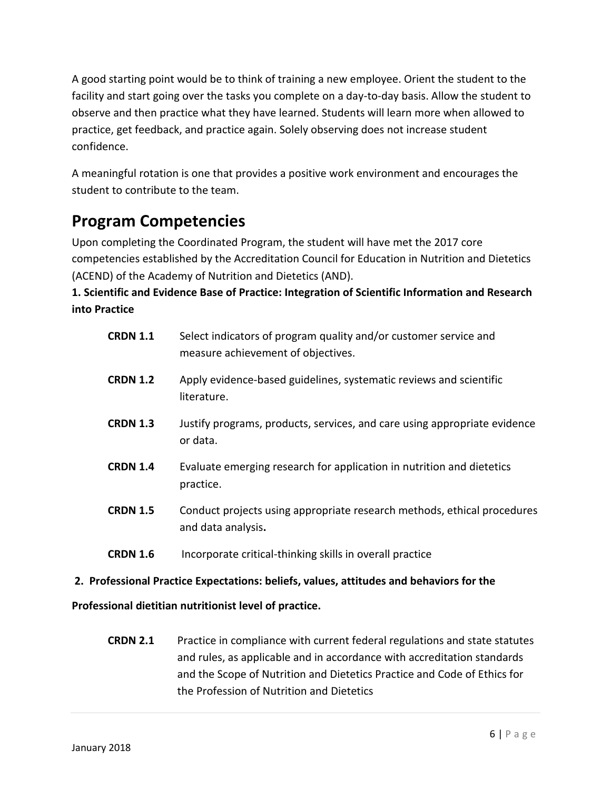A good starting point would be to think of training a new employee. Orient the student to the facility and start going over the tasks you complete on a day-to-day basis. Allow the student to observe and then practice what they have learned. Students will learn more when allowed to practice, get feedback, and practice again. Solely observing does not increase student confidence.

A meaningful rotation is one that provides a positive work environment and encourages the student to contribute to the team.

# **Program Competencies**

Upon completing the Coordinated Program, the student will have met the 2017 core competencies established by the Accreditation Council for Education in Nutrition and Dietetics (ACEND) of the Academy of Nutrition and Dietetics (AND).

#### **1. Scientific and Evidence Base of Practice: Integration of Scientific Information and Research into Practice**

| <b>CRDN 1.1</b> | Select indicators of program quality and/or customer service and<br>measure achievement of objectives. |
|-----------------|--------------------------------------------------------------------------------------------------------|
| <b>CRDN 1.2</b> | Apply evidence-based guidelines, systematic reviews and scientific<br>literature.                      |
| <b>CRDN 1.3</b> | Justify programs, products, services, and care using appropriate evidence<br>or data.                  |
| <b>CRDN 1.4</b> | Evaluate emerging research for application in nutrition and dietetics<br>practice.                     |
| <b>CRDN 1.5</b> | Conduct projects using appropriate research methods, ethical procedures<br>and data analysis.          |
| <b>CRDN 1.6</b> | Incorporate critical-thinking skills in overall practice                                               |

#### **2. Professional Practice Expectations: beliefs, values, attitudes and behaviors for the**

#### **Professional dietitian nutritionist level of practice.**

**CRDN 2.1** Practice in compliance with current federal regulations and state statutes and rules, as applicable and in accordance with accreditation standards and the Scope of Nutrition and Dietetics Practice and Code of Ethics for the Profession of Nutrition and Dietetics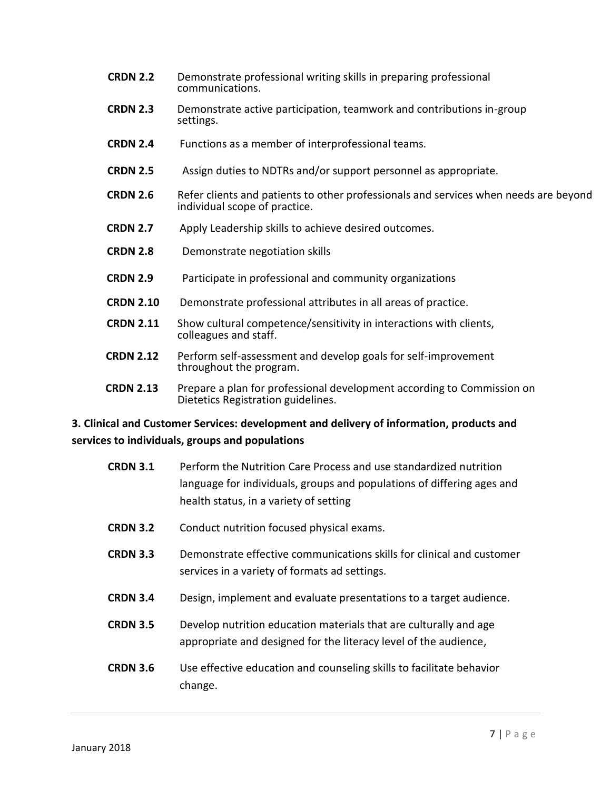- **CRDN 2.2** Demonstrate professional writing skills in preparing professional communications.
- **CRDN 2.3** Demonstrate active participation, teamwork and contributions in-group settings.
- **CRDN 2.4** Functions as a member of interprofessional teams.
- **CRDN 2.5** Assign duties to NDTRs and/or support personnel as appropriate.
- **CRDN 2.6** Refer clients and patients to other professionals and services when needs are beyond individual scope of practice.
- **CRDN 2.7** Apply Leadership skills to achieve desired outcomes.
- **CRDN 2.8** Demonstrate negotiation skills
- **CRDN 2.9** Participate in professional and community organizations
- **CRDN 2.10** Demonstrate professional attributes in all areas of practice.
- **CRDN 2.11** Show cultural competence/sensitivity in interactions with clients, colleagues and staff.
- **CRDN 2.12** Perform self-assessment and develop goals for self-improvement throughout the program.
- **CRDN 2.13** Prepare a plan for professional development according to Commission on Dietetics Registration guidelines.

#### **3. Clinical and Customer Services: development and delivery of information, products and services to individuals, groups and populations**

| <b>CRDN 3.1</b> | Perform the Nutrition Care Process and use standardized nutrition<br>language for individuals, groups and populations of differing ages and<br>health status, in a variety of setting |
|-----------------|---------------------------------------------------------------------------------------------------------------------------------------------------------------------------------------|
| <b>CRDN 3.2</b> | Conduct nutrition focused physical exams.                                                                                                                                             |
| <b>CRDN 3.3</b> | Demonstrate effective communications skills for clinical and customer<br>services in a variety of formats ad settings.                                                                |
| <b>CRDN 3.4</b> | Design, implement and evaluate presentations to a target audience.                                                                                                                    |
| <b>CRDN 3.5</b> | Develop nutrition education materials that are culturally and age<br>appropriate and designed for the literacy level of the audience,                                                 |
| <b>CRDN 3.6</b> | Use effective education and counseling skills to facilitate behavior<br>change.                                                                                                       |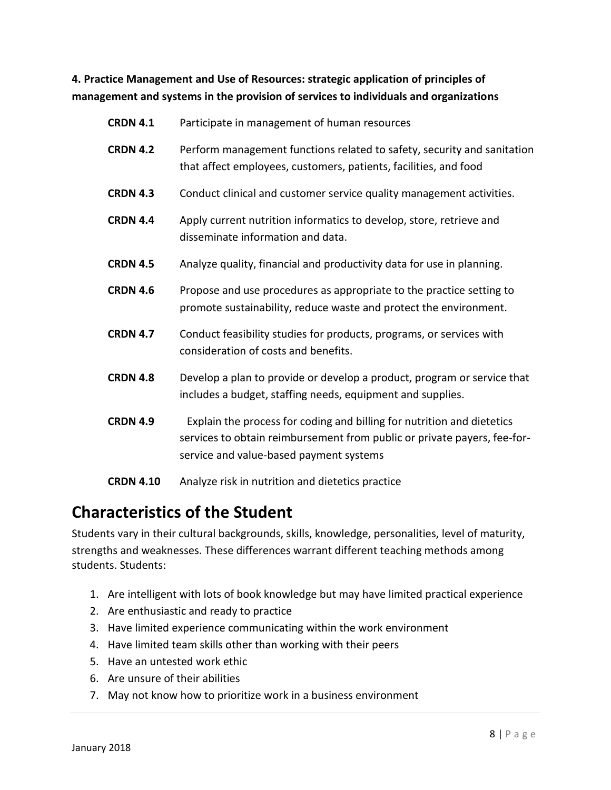**4. Practice Management and Use of Resources: strategic application of principles of management and systems in the provision of services to individuals and organizations**

| <b>CRDN 4.1</b>  | Participate in management of human resources                                                                                                                                                  |
|------------------|-----------------------------------------------------------------------------------------------------------------------------------------------------------------------------------------------|
| <b>CRDN 4.2</b>  | Perform management functions related to safety, security and sanitation<br>that affect employees, customers, patients, facilities, and food                                                   |
| <b>CRDN 4.3</b>  | Conduct clinical and customer service quality management activities.                                                                                                                          |
| <b>CRDN 4.4</b>  | Apply current nutrition informatics to develop, store, retrieve and<br>disseminate information and data.                                                                                      |
| <b>CRDN 4.5</b>  | Analyze quality, financial and productivity data for use in planning.                                                                                                                         |
| <b>CRDN 4.6</b>  | Propose and use procedures as appropriate to the practice setting to<br>promote sustainability, reduce waste and protect the environment.                                                     |
| <b>CRDN 4.7</b>  | Conduct feasibility studies for products, programs, or services with<br>consideration of costs and benefits.                                                                                  |
| <b>CRDN 4.8</b>  | Develop a plan to provide or develop a product, program or service that<br>includes a budget, staffing needs, equipment and supplies.                                                         |
| <b>CRDN 4.9</b>  | Explain the process for coding and billing for nutrition and dietetics<br>services to obtain reimbursement from public or private payers, fee-for-<br>service and value-based payment systems |
| <b>CRDN 4.10</b> | Analyze risk in nutrition and dietetics practice                                                                                                                                              |

# **Characteristics of the Student**

Students vary in their cultural backgrounds, skills, knowledge, personalities, level of maturity, strengths and weaknesses. These differences warrant different teaching methods among students. Students:

- 1. Are intelligent with lots of book knowledge but may have limited practical experience
- 2. Are enthusiastic and ready to practice
- 3. Have limited experience communicating within the work environment
- 4. Have limited team skills other than working with their peers
- 5. Have an untested work ethic
- 6. Are unsure of their abilities
- 7. May not know how to prioritize work in a business environment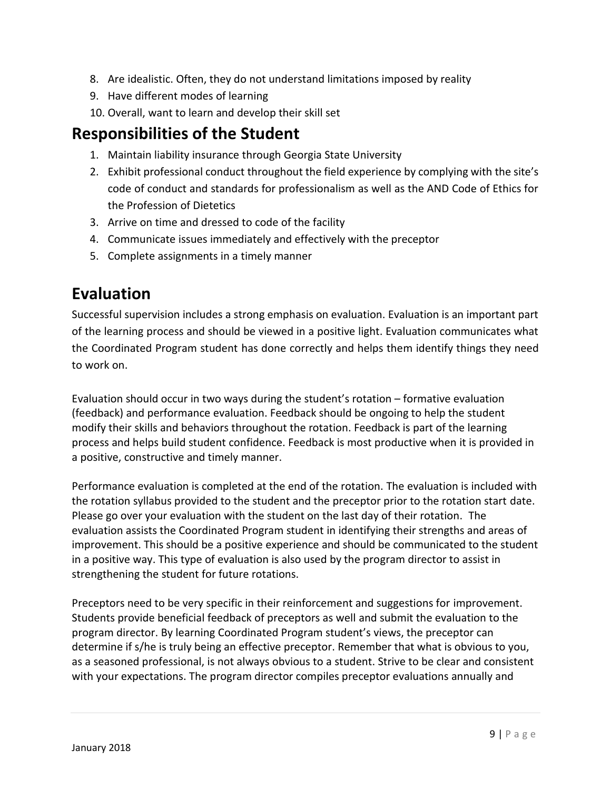- 8. Are idealistic. Often, they do not understand limitations imposed by reality
- 9. Have different modes of learning
- 10. Overall, want to learn and develop their skill set

### **Responsibilities of the Student**

- 1. Maintain liability insurance through Georgia State University
- 2. Exhibit professional conduct throughout the field experience by complying with the site's code of conduct and standards for professionalism as well as the AND Code of Ethics for the Profession of Dietetics
- 3. Arrive on time and dressed to code of the facility
- 4. Communicate issues immediately and effectively with the preceptor
- 5. Complete assignments in a timely manner

# **Evaluation**

Successful supervision includes a strong emphasis on evaluation. Evaluation is an important part of the learning process and should be viewed in a positive light. Evaluation communicates what the Coordinated Program student has done correctly and helps them identify things they need to work on.

Evaluation should occur in two ways during the student's rotation – formative evaluation (feedback) and performance evaluation. Feedback should be ongoing to help the student modify their skills and behaviors throughout the rotation. Feedback is part of the learning process and helps build student confidence. Feedback is most productive when it is provided in a positive, constructive and timely manner.

Performance evaluation is completed at the end of the rotation. The evaluation is included with the rotation syllabus provided to the student and the preceptor prior to the rotation start date. Please go over your evaluation with the student on the last day of their rotation. The evaluation assists the Coordinated Program student in identifying their strengths and areas of improvement. This should be a positive experience and should be communicated to the student in a positive way. This type of evaluation is also used by the program director to assist in strengthening the student for future rotations.

Preceptors need to be very specific in their reinforcement and suggestions for improvement. Students provide beneficial feedback of preceptors as well and submit the evaluation to the program director. By learning Coordinated Program student's views, the preceptor can determine if s/he is truly being an effective preceptor. Remember that what is obvious to you, as a seasoned professional, is not always obvious to a student. Strive to be clear and consistent with your expectations. The program director compiles preceptor evaluations annually and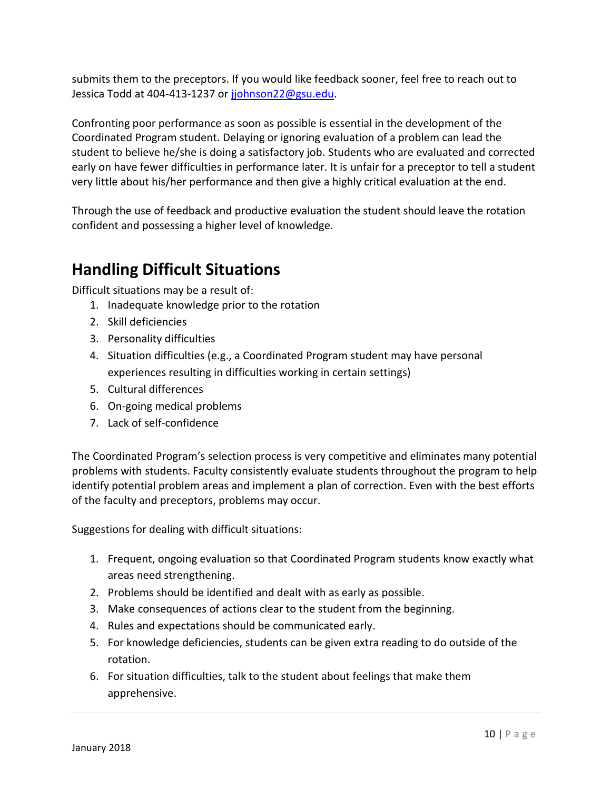submits them to the preceptors. If you would like feedback sooner, feel free to reach out to Jessica Todd at 404-413-1237 or [jjohnson22@gsu.edu.](mailto:jjohnson22@gsu.edu)

Confronting poor performance as soon as possible is essential in the development of the Coordinated Program student. Delaying or ignoring evaluation of a problem can lead the student to believe he/she is doing a satisfactory job. Students who are evaluated and corrected early on have fewer difficulties in performance later. It is unfair for a preceptor to tell a student very little about his/her performance and then give a highly critical evaluation at the end.

Through the use of feedback and productive evaluation the student should leave the rotation confident and possessing a higher level of knowledge.

# **Handling Difficult Situations**

Difficult situations may be a result of:

- 1. Inadequate knowledge prior to the rotation
- 2. Skill deficiencies
- 3. Personality difficulties
- 4. Situation difficulties (e.g., a Coordinated Program student may have personal experiences resulting in difficulties working in certain settings)
- 5. Cultural differences
- 6. On-going medical problems
- 7. Lack of self-confidence

The Coordinated Program's selection process is very competitive and eliminates many potential problems with students. Faculty consistently evaluate students throughout the program to help identify potential problem areas and implement a plan of correction. Even with the best efforts of the faculty and preceptors, problems may occur.

Suggestions for dealing with difficult situations:

- 1. Frequent, ongoing evaluation so that Coordinated Program students know exactly what areas need strengthening.
- 2. Problems should be identified and dealt with as early as possible.
- 3. Make consequences of actions clear to the student from the beginning.
- 4. Rules and expectations should be communicated early.
- 5. For knowledge deficiencies, students can be given extra reading to do outside of the rotation.
- 6. For situation difficulties, talk to the student about feelings that make them apprehensive.